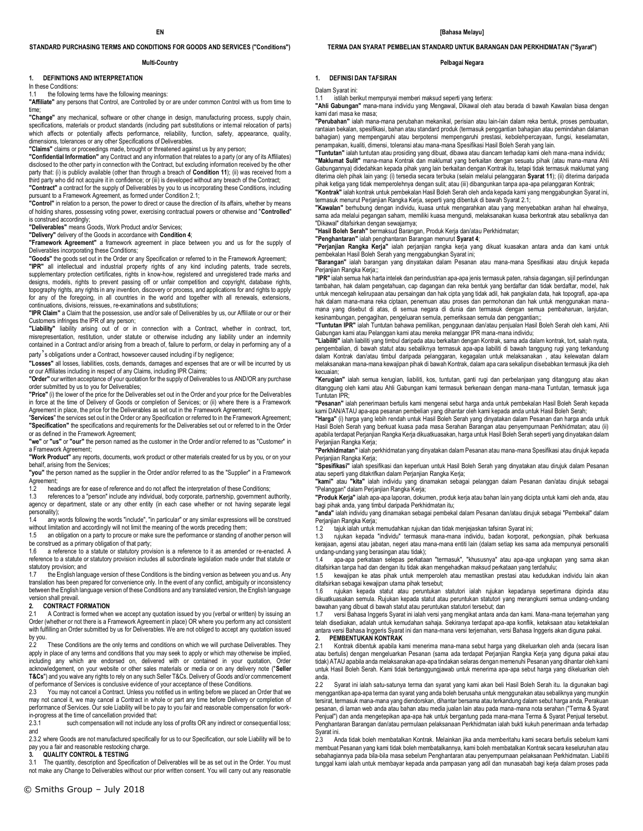#### **STANDARD PURCHASING TERMS AND CONDITIONS FOR GOODS AND SERVICES ("Conditions")**

#### **Multi-Country**

#### **1. DEFINITIONS AND INTERPRETATION**

In these Conditions:

1.1 the following terms have the following meanings:

**"Affiliate"** any persons that Control, are Controlled by or are under common Control with us from time to time;

**"Change"** any mechanical, software or other change in design, manufacturing process, supply chain, specifications, materials or product standards (including part substitutions or internal relocation of parts) which affects or potentially affects performance, reliability, function, safety, appearance, quality, dimensions, tolerances or any other Specifications of Deliverables.

**"Claims"** claims or proceedings made, brought or threatened against us by any person;

**"Confidential Information"** any Contract and any information that relates to a party (or any of its Affiliates) disclosed to the other party in connection with the Contract, but excluding information received by the other party that: (i) is publicly available (other than through a breach of **Condition 11**); (ii) was received from a third party who did not acquire it in confidence; or (iii) is developed without any breach of the Contract;

**"Contract"** a contract for the supply of Deliverables by you to us incorporating these Conditions, including pursuant to a Framework Agreement, as formed under Condition 2.1;

**"Control"** in relation to a person, the power to direct or cause the direction of its affairs, whether by means of holding shares, possessing voting power, exercising contractual powers or otherwise and "**Controlled**" is construed accordingly;

**"Deliverables"** means Goods, Work Product and/or Services;

**"Delivery"** delivery of the Goods in accordance with **Condition 4**;

**"Framework Agreement"** a framework agreement in place between you and us for the supply of Deliverables incorporating these Conditions;

**"Goods"** the goods set out in the Order or any Specification or referred to in the Framework Agreement; **"IPR"** all intellectual and industrial property rights of any kind including patents, trade secrets, supplementary protection certificates, rights in know-how, registered and unregistered trade marks and designs, models, rights to prevent passing off or unfair competition and copyright, database rights, topography rights, any rights in any invention, discovery or process, and applications for and rights to apply for any of the foregoing, in all countries in the world and together with all renewals, extensions, continuations, divisions, reissues, re-examinations and substitutions;

**"IPR Claim"** a Claim that the possession, use and/or sale of Deliverables by us, our Affiliate or our or their Customers infringes the IPR of any person;

**"Liability"** liability arising out of or in connection with a Contract, whether in contract, tort, misrepresentation, restitution, under statute or otherwise including any liability under an indemnity contained in a Contract and/or arising from a breach of, failure to perform, or delay in performing any of a party's obligations under a Contract, howsoever caused including if by negligence;

**"Losses"** all losses, liabilities, costs, demands, damages and expenses that are or will be incurred by us or our Affiliates including in respect of any Claims, including IPR Claims;

**"Order"** our written acceptance of your quotation for the supply of Deliverables to us AND/OR any purchase order submitted by us to you for Deliverables;

**"Price"** (i) the lower of the price for the Deliverables set out in the Order and your price for the Deliverables in force at the time of Delivery of Goods or completion of Services; or (ii) where there is a Framework Agreement in place, the price for the Deliverables as set out in the Framework Agreement;

"**Services**" the services set out in the Order or any Specification or referred to in the Framework Agreement; **"Specification"** the specifications and requirements for the Deliverables set out or referred to in the Order or as defined in the Framework Agreement;

**"we"** or **"us"** or **"our"** the person named as the customer in the Order and/or referred to as "Customer" in a Framework Agreement;

**"Work Product"** any reports, documents, work product or other materials created for us by you, or on your behalf, arising from the Services;

**"you"** the person named as the supplier in the Order and/or referred to as the "Supplier" in a Framework Agreement;

1.2 headings are for ease of reference and do not affect the interpretation of these Conditions;<br>1.3 references to a "person" include any individual, body corporate, partnership, government a

1.3 references to a "person" include any individual, body corporate, partnership, government authority, agency or department, state or any other entity (in each case whether or not having separate legal personality);

1.4 any words following the words "include", "in particular" or any similar expressions will be construed without limitation and accordingly will not limit the meaning of the words preceding them;<br>1.5 an obligation on a party to procure or make sure the performance or standing of another person will

be construed as a primary obligation of that party;<br>1.6 a reference to a statute or statutory provi

a reference to a statute or statutory provision is a reference to it as amended or re-enacted. A reference to a statute or statutory provision includes all subordinate legislation made under that statute or statutory provision; and<br>1.7 the English langu

the English language version of these Conditions is the binding version as between you and us. Any translation has been prepared for convenience only. In the event of any conflict, ambiguity or inconsistency between the English language version of these Conditions and any translated version, the English language version shall prevail.

#### **2. CONTRACT FORMATION**

2.1 A Contract is formed when we accept any quotation issued by you (verbal or written) by issuing an Order (whether or not there is a Framework Agreement in place) OR where you perform any act consistent with fulfilling an Order submitted by us for Deliverables. We are not obliged to accept any quotation issued by you.

2.2 These Conditions are the only terms and conditions on which we will purchase Deliverables. They apply in place of any terms and conditions that you may seek to apply or which may otherwise be implied, including any which are endorsed on, delivered with or contained in your quotation, Order acknowledgement, on your website or other sales materials or media or on any delivery note ("**Seller T&Cs**") and you waive any rights to rely on any such Seller T&Cs. Delivery of Goods and/or commencement of performance of Services is conclusive evidence of your acceptance of these Conditions.<br>2.3 You may not cancel a Contract. Unless you notified us in writing before we placed a

You may not cancel a Contract. Unless you notified us in writing before we placed an Order that we may not cancel it, we may cancel a Contract in whole or part any time before Delivery or completion of performance of Services. Our sole Liability will be to pay to you fair and reasonable compensation for workin-progress at the time of cancellation provided that:<br>2.3.1 such compensation will not include are

such compensation will not include any loss of profits OR any indirect or consequential loss; and

2.3.2 where Goods are not manufactured specifically for us to our Specification, our sole Liability will be to pay you a fair and reasonable restocking charge.

#### **3. QUALITY CONTROL & TESTING**

3.1 The quantity, description and Specification of Deliverables will be as set out in the Order. You must not make any Change to Deliverables without our prior written consent. You will carry out any reasonable **TERMA DAN SYARAT PEMBELIAN STANDARD UNTUK BARANGAN DAN PERKHIDMATAN ("Syarat")** 

#### **Pelbagai Negara**

#### **1. DEFINISI DAN TAFSIRAN**

Dalam Syarat ini:<br>1.1 istilah ber

istilah berikut mempunyai memberi maksud seperti yang tertera:

**"Ahli Gabungan"** mana-mana individu yang Mengawal, Dikawal oleh atau berada di bawah Kawalan biasa dengan kami dari masa ke masa;

**"Perubahan"** ialah mana-mana perubahan mekanikal, perisian atau lain-lain dalam reka bentuk, proses pembuatan, rantaian bekalan, spesifikasi, bahan atau standard produk (termasuk penggantian bahagian atau pemindahan dalaman bahagian) yang mempengaruhi atau berpotensi mempengaruhi prestasi, kebolehpercayaan, fungsi, keselamatan, penampakan, kualiti, dimensi, toleransi atau mana-mana Spesifikasi Hasil Boleh Serah yang lain.

**"Tuntutan"** ialah tuntutan atau prosiding yang dibuat, dibawa atau diancam terhadap kami oleh mana-mana individu; **"Maklumat Sulit"** mana-mana Kontrak dan maklumat yang berkaitan dengan sesuatu pihak (atau mana-mana Ahli Gabungannya) didedahkan kepada pihak yang lain berkaitan dengan Kontrak itu, tetapi tidak termasuk maklumat yang diterima oleh pihak lain yang: (i) tersedia secara terbuka (selain melalui pelanggaran **Syarat 11**); (ii) diterima daripada pihak ketiga yang tidak memperolehnya dengan sulit; atau (iii) dibangunkan tanpa apa-apa pelanggaran Kontrak;

**"Kontrak"** ialah kontrak untuk pembekalan Hasil Boleh Serah oleh anda kepada kami yang menggabungkan Syarat ini, termasuk menurut Perjanjian Rangka Kerja, seperti yang dibentuk di bawah Syarat 2.1;

**"Kawalan"** berhubung dengan individu, kuasa untuk mengarahkan atau yang menyebabkan arahan hal ehwalnya, sama ada melalui pegangan saham, memiliki kuasa mengundi, melaksanakan kuasa berkontrak atau sebaliknya dan "Dikawal" ditafsirkan dengan sewajarnya;

**"Hasil Boleh Serah"** bermaksud Barangan, Produk Kerja dan/atau Perkhidmatan;

**"Penghantaran"** ialah penghantaran Barangan menurut **Syarat 4**;

**"Perjanjian Rangka Kerja"** ialah perjanjian rangka kerja yang dikuat kuasakan antara anda dan kami untuk pembekalan Hasil Boleh Serah yang menggabungkan Syarat ini; **"Barangan"** ialah barangan yang dinyatakan dalam Pesanan atau mana-mana Spesifikasi atau dirujuk kepada

Perjanjian Rangka Kerja:: **"IPR"** ialah semua hak harta intelek dan perindustrian apa-apa jenis termasuk paten, rahsia dagangan, sijil perlindungan

tambahan, hak dalam pengetahuan, cap dagangan dan reka bentuk yang berdaftar dan tidak berdaftar, model, hak<br>untuk mencegah kelirupaan atau persaingan dan hak cipta yang tidak adil, hak pangkalan data, hak topografi, apa-a hak dalam mana-mana reka ciptaan, penemuan atau proses dan permohonan dan hak untuk menggunakan manamana yang disebut di atas, di semua negara di dunia dan termasuk dengan semua pembaharuan, lanjutan, kesinambungan, pengagihan, pengeluaran semula, pemeriksaan semula dan penggantian;;

**"Tuntutan IPR"** ialah Tuntutan bahawa pemilikan, penggunaan dan/atau penjualan Hasil Boleh Serah oleh kami, Ahli Gabungan kami atau Pelanggan kami atau mereka melanggar IPR mana-mana individu;

**"Liabiliti"** ialah liabiliti yang timbul daripada atau berkaitan dengan Kontrak, sama ada dalam kontrak, tort, salah nyata, pengembalian, di bawah statut atau sebaliknya termasuk apa-apa liabiliti di bawah tanggung rugi yang terkandung dalam Kontrak dan/atau timbul daripada pelanggaran, kegagalan untuk melaksanakan , atau kelewatan dalam melaksanakan mana-mana kewajipan pihak di bawah Kontrak, dalam apa cara sekalipun disebabkan termasuk jika oleh kecuaian;

**"Kerugian"** ialah semua kerugian, liabiliti, kos, tuntutan, ganti rugi dan perbelanjaan yang ditanggung atau akan ditanggung oleh kami atau Ahli Gabungan kami termasuk berkenaan dengan mana-mana Tuntutan, termasuk juga Tuntutan IPR;

**"Pesanan"** ialah penerimaan bertulis kami mengenai sebut harga anda untuk pembekalan Hasil Boleh Serah kepada kami DAN/ATAU apa-apa pesanan pembelian yang dihantar oleh kami kepada anda untuk Hasil Boleh Serah;

**"Harga"** (i) harga yang lebih rendah untuk Hasil Boleh Serah yang dinyatakan dalam Pesanan dan harga anda untuk<br>Hasil Boleh Serah yang berkuat kuasa pada masa Serahan Barangan atau penyempurnaan Perkhidmatan; atau (ii) apabila terdapat Perjanjian Rangka Kerja dikuatkuasakan, harga untuk Hasil Boleh Serah seperti yang dinyatakan dalam Perjanjian Rangka Kerja;

**"Perkhidmatan"** ialah perkhidmatan yang dinyatakan dalam Pesanan atau mana-mana Spesifikasi atau dirujuk kepada Perjanjian Rangka Kerja;

**"Spesifikasi"** ialah spesifikasi dan keperluan untuk Hasil Boleh Serah yang dinyatakan atau dirujuk dalam Pesanan atau seperti yang ditakrifkan dalam Perjanjian Rangka Kerja;

**"kami"** atau **"kita"** ialah individu yang dinamakan sebagai pelanggan dalam Pesanan dan/atau dirujuk sebagai "Pelanggan" dalam Perjanjian Rangka Kerja;

**"Produk Kerja"** ialah apa-apa laporan, dokumen, produk kerja atau bahan lain yang dicipta untuk kami oleh anda, atau bagi pihak anda, yang timbul daripada Perkhidmatan itu;

**"anda"** ialah individu yang dinamakan sebagai pembekal dalam Pesanan dan/atau dirujuk sebagai "Pembekal" dalam Perjanjian Rangka Kerja;

1.2 tajuk ialah untuk memudahkan rujukan dan tidak menjejaskan tafsiran Syarat ini;

1.3 rujukan kepada "individu" termasuk mana-mana individu, badan korporat, perkongsian, pihak berkuasa kerajaan, agensi atau jabatan, negeri atau mana-mana entiti lain (dalam setiap kes sama ada mempunyai personaliti undang-undang yang berasingan atau tidak);

1.4 apa-apa perkataan selepas perkataan "termasuk", "khususnya" atau apa-apa ungkapan yang sama akan ditafsirkan tanpa had dan dengan itu tidak akan mengehadkan maksud perkataan yang terdahulu;

1.5 kewajipan ke atas pihak untuk memperoleh atau memastikan prestasi atau kedudukan individu lain akan ditafsirkan sebagai kewajipan utama pihak tersebut;

1.6 rujukan kepada statut atau peruntukan statutori ialah rujukan kepadanya sepertimana dipinda atau dikuatkuasakan semula. Rujukan kepada statut atau peruntukan statutori yang merangkumi semua undang-undang bawahan yang dibuat di bawah statut atau peruntukan statutori tersebut; dan

1.7 versi Bahasa Inggeris Syarat ini ialah versi yang mengikat antara anda dan kami. Mana-mana terjemahan yang telah disediakan, adalah untuk kemudahan sahaja. Sekiranya terdapat apa-apa konflik, ketaksaan atau ketaktekalan antara versi Bahasa Inggeris Syarat ini dan mana-mana versi terjemahan, versi Bahasa Inggeris akan diguna pakai.

**2. PEMBENTUKAN KONTRAK**

2.1 Kontrak dibentuk apabila kami menerima mana-mana sebut harga yang dikeluarkan oleh anda (secara lisan atau bertulis) dengan mengeluarkan Pesanan (sama ada terdapat Perjanjian Rangka Kerja yang diguna pakai atau tidak) ATAU apabila anda melaksanakan apa-apa tindakan selaras dengan memenuhi Pesanan yang dihantar oleh kami untuk Hasil Boleh Serah. Kami tidak bertanggungjawab untuk menerima apa-apa sebut harga yang dikeluarkan oleh anda.

2.2 Syarat ini ialah satu-satunya terma dan syarat yang kami akan beli Hasil Boleh Serah itu. Ia digunakan bagi menggantikan apa-apa terma dan syarat yang anda boleh berusaha untuk menggunakan atau sebaliknya yang mungkin tersirat, termasuk mana-mana yang diendorskan, dihantar bersama atau terkandung dalam sebut harga anda, Perakuan pesanan, di laman web anda atau bahan atau media jualan lain atau pada mana-mana nota serahan ("Terma & Syarat Penjual") dan anda mengetepikan apa-apa hak untuk bergantung pada mana-mana Terma & Syarat Penjual tersebut. Penghantaran Barangan dan/atau permulaan pelaksanaan Perkhidmatan ialah bukti kukuh penerimaan anda terhadap Syarat ini.

2.3 Anda tidak boleh membatalkan Kontrak. Melainkan jika anda memberitahu kami secara bertulis sebelum kami membuat Pesanan yang kami tidak boleh membatalkannya, kami boleh membatalkan Kontrak secara keseluruhan atau sebahagiannya pada bila-bila masa sebelum Penghantaran atau penyempurnaan pelaksanaan Perkhidmatan. Liabiliti tunggal kami ialah untuk membayar kepada anda pampasan yang adil dan munasabah bagi kerja dalam proses pada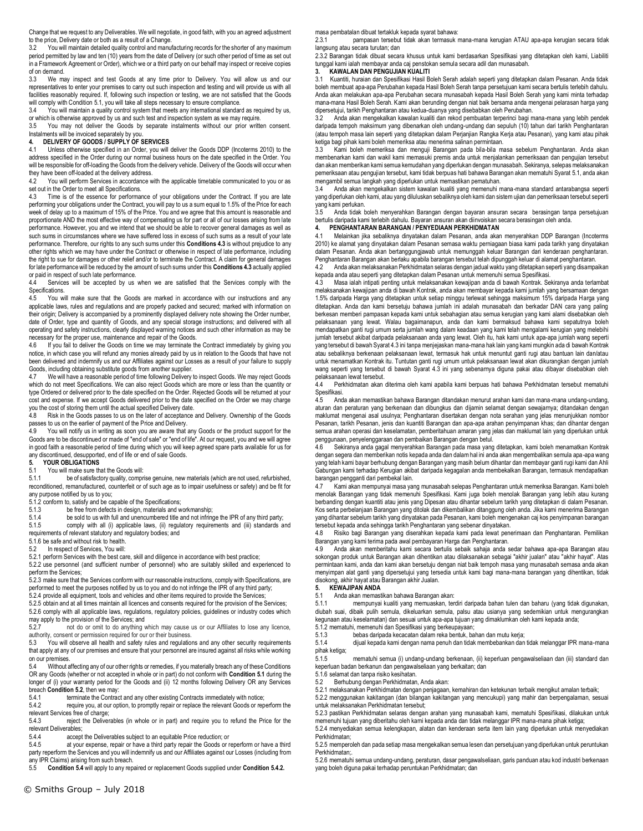Change that we request to any Deliverables. We will negotiate, in good faith, with you an agreed adjustment

to the price, Delivery date or both as a result of a Change.<br>3.2 You will maintain detailed quality control and manufacturing records for the shorter of any maximum period permitted by law and ten (10) years from the date of Delivery (or such other period of time as set out in a Framework Agreement or Order), which we or a third party on our behalf may inspect or receive copies of on demand.

3.3 We may inspect and test Goods at any time prior to Delivery. You will allow us and our representatives to enter your premises to carry out such inspection and testing and will provide us with all facilities reasonably required. If, following such inspection or testing, we are not satisfied that the Goods will comply with Condition 5.1, you will take all steps necessary to ensure compliance.

3.4 You will maintain a quality control system that meets any international standard as required by us, or which is otherwise approved by us and such test and inspection system as we may require.

3.5 You may not deliver the Goods by separate instalments without our prior written consent.

### Instalments will be invoiced separately by you. **4. DELIVERY OF GOODS / SUPPLY OF SERVICES**

4.1 Unless otherwise specified in an Order, you will deliver the Goods DDP (Incoterms 2010) to the address specified in the Order during our normal business hours on the date specified in the Order. You will be responsible for off-loading the Goods from the delivery vehicle. Delivery of the Goods will occur when they have been off-loaded at the delivery address.

4.2 You will perform Services in accordance with the applicable timetable communicated to you or as set out in the Order to meet all Specifications.

Time is of the essence for performance of your obligations under the Contract. If you are late performing your obligations under the Contract, you will pay to us a sum equal to 1.5% of the Price for each week of delay up to a maximum of 15% of the Price. You and we agree that this amount is reasonable and proportionate AND the most effective way of compensating us for part or all of our losses arising from late performance. However, you and we intend that we should be able to recover general damages as well as such sums in circumstances where we have suffered loss in excess of such sums as a result of your late performance. Therefore, our rights to any such sums under this **Conditions 4.3** is without prejudice to any other rights which we may have under the Contract or otherwise in respect of late performance, including the right to sue for damages or other relief and/or to terminate the Contract. A claim for general damages for late performance will be reduced by the amount of such sums under this **Conditions 4.3** actually applied or paid in respect of such late performance.<br>4.4 Services will be accepted by us

Services will be accepted by us when we are satisfied that the Services comply with the Specifications.<br>4.5 You wi

You will make sure that the Goods are marked in accordance with our instructions and any applicable laws, rules and regulations and are properly packed and secured; marked with information on their origin; Delivery is accompanied by a prominently displayed delivery note showing the Order number, date of Order, type and quantity of Goods, and any special storage instructions; and delivered with all operating and safety instructions, clearly displayed warning notices and such other information as may be necessary for the proper use, maintenance and repair of the Goods.

4.6 If you fail to deliver the Goods on time we may terminate the Contract immediately by giving you notice, in which case you will refund any monies already paid by us in relation to the Goods that have not been delivered and indemnify us and our Affiliates against our Losses as a result of your failure to supply Goods, including obtaining substitute goods from another supplier.

4.7 We will have a reasonable period of time following Delivery to inspect Goods. We may reject Goods which do not meet Specifications. We can also reject Goods which are more or less than the quantity or type Ordered or delivered prior to the date specified on the Order. Rejected Goods will be returned at your cost and expense. If we accept Goods delivered prior to the date specified on the Order we may charge you the cost of storing them until the actual specified Delivery date.

Risk in the Goods passes to us on the later of acceptance and Delivery. Ownership of the Goods passes to us on the earlier of payment of the Price and Delivery.<br>4.9 You will notify us in writing as soon you are aware that

You will notify us in writing as soon you are aware that any Goods or the product support for the Goods are to be discontinued or made of "end of sale" or "end of life". At our request, you and we will agree in good faith a reasonable period of time during which you will keep agreed spare parts available for us for any discontinued, desupported, end of life or end of sale Goods.<br>5. YOUR OBLIGATIONS

### **5. YOUR OBLIGATIONS**<br>5.1 You will make sure the

5.1 You will make sure that the Goods will:<br>5.1.1 be of satisfactory quality.compr

be of satisfactory quality, comprise genuine, new materials (which are not used, refurbished, reconditioned, remanufactured, counterfeit or of such age as to impair usefulness or safety) and be fit for any purpose notified by us to you;

5.1.2 conform to, satisfy and be capable of the Specifications;<br>5.1.3 be free from defects in design, materials and w

5.1.3 be free from defects in design, materials and workmanship;<br>5.1.4 be sold to us with full and unencumbered title and not infring

be sold to us with full and unencumbered title and not infringe the IPR of any third party; 5.1.5 comply with all (i) applicable laws, (ii) regulatory requirements and (iii) standards and requirements of relevant statutory and regulatory bodies; and

5.1.6 be safe and without risk to health.

5.2 In respect of Services, You will:

5.2.1 perform Services with the best care, skill and diligence in accordance with best practice;

5.2.2 use personnel (and sufficient number of personnel) who are suitably skilled and experienced to perform the Services;

5.2.3 make sure that the Services conform with our reasonable instructions, comply with Specifications, are performed to meet the purposes notified by us to you and do not infringe the IPR of any third party;

5.2.4 provide all equipment, tools and vehicles and other items required to provide the Services;

5.2.5 obtain and at all times maintain all licences and consents required for the provision of the Services; 5.2.6 comply with all applicable laws, regulations, regulatory policies, guidelines or industry codes which

may apply to the provision of the Services; and 5.2.7 not do or omit to do anything which may cause us or our Affiliates to lose any licence,

authority, consent or permission required for our or their business.<br>5.3 You will observe all health and safety rules and requiation You will observe all health and safety rules and regulations and any other security requirements that apply at any of our premises and ensure that your personnel are insured against all risks while working on our premises.

5.4 Without affecting any of our other rights or remedies, if you materially breach any of these Conditions OR any Goods (whether or not accepted in whole or in part) do not conform with **Condition 5.1** during the longer of (i) your warranty period for the Goods and (ii) 12 months following Delivery OR any Services breach **Condition 5.2**, then we may:<br>5.4.1 terminate the Contrac

5.4.1 terminate the Contract and any other existing Contracts immediately with notice;<br>5.4.2 require you at our option to promotly repair or replace the relevant Goods or rep

require you, at our option, to promptly repair or replace the relevant Goods or reperform the

relevant Services free of charge;<br>5.4.3 reject the Deliver reject the Deliverables (in whole or in part) and require you to refund the Price for the relevant Deliverables;<br>544 accent

accept the Deliverables subject to an equitable Price reduction; or

5.4.5 at your expense, repair or have a third party repair the Goods or reperform or have a third party reperform the Services and you will indemnify us and our Affiliates against our Losses (including from any IPR Claims) arising from such breach.

5.5 **Condition 5.4** will apply to any repaired or replacement Goods supplied under **Condition 5.4.2.**

masa pembatalan dibuat tertakluk kepada syarat bahawa:

2.3.1 pampasan tersebut tidak akan termasuk mana-mana kerugian ATAU apa-apa kerugian secara tidak langsung atau secara turutan; dan

2.3.2 Barangan tidak dibuat secara khusus untuk kami berdasarkan Spesifikasi yang ditetapkan oleh kami, Liabiliti tunggal kami ialah membayar anda caj penstokan semula secara adil dan munasabah.

#### **3. KAWALAN DAN PENGUJIAN KUALITI**

3.1 Kuantiti, huraian dan Spesifikasi Hasil Boleh Serah adalah seperti yang ditetapkan dalam Pesanan. Anda tidak boleh membuat apa-apa Perubahan kepada Hasil Boleh Serah tanpa persetujuan kami secara bertulis terlebih dahulu. Anda akan melakukan apa-apa Perubahan secara munasabah kepada Hasil Boleh Serah yang kami minta terhadap mana-mana Hasil Boleh Serah. Kami akan berunding dengan niat baik bersama anda mengenai pelarasan harga yang dipersetujui, tarikh Penghantaran atau kedua-duanya yang disebabkan oleh Perubahan.

3.2 Anda akan mengekalkan kawalan kualiti dan rekod pembuatan terperinci bagi mana-mana yang lebih pendek daripada tempoh maksimum yang dibenarkan oleh undang-undang dan sepuluh (10) tahun dari tarikh Penghantaran (atau tempoh masa lain seperti yang ditetapkan dalam Perjanjian Rangka Kerja atau Pesanan), yang kami atau pihak ketiga bagi pihak kami boleh memeriksa atau menerima salinan permintaan.

3.3 Kami boleh memeriksa dan menguji Barangan pada bila-bila masa sebelum Penghantaran. Anda akan membenarkan kami dan wakil kami memasuki premis anda untuk menjalankan pemeriksaan dan pengujian tersebut dan akan memberikan kami semua kemudahan yang diperlukan dengan munasabah. Sekiranya, selepas melaksanakan pemeriksaan atau pengujian tersebut, kami tidak berpuas hati bahawa Barangan akan mematuhi Syarat 5.1, anda akan mengambil semua langkah yang diperlukan untuk memastikan pematuhan.<br>34 Anda akan mengekalkan sistem kawalan kualiti yang memenuhi n

3.4 Anda akan mengekalkan sistem kawalan kualiti yang memenuhi mana-mana standard antarabangsa seperti yang diperlukan oleh kami, atau yang diluluskan sebaliknya oleh kami dan sistem ujian dan pemeriksaan tersebut seperti yang kami perlukan.

3.5 Anda tidak boleh menyerahkan Barangan dengan bayaran ansuran secara berasingan tanpa persetujuan bertulis daripada kami terlebih dahulu. Bayaran ansuran akan diinvoiskan secara berasingan oleh anda.

#### **4. PENGHANTARAN BARANGAN / PENYEDIAAN PERKHIDMATAN**

4.1 Melainkan jika sebaliknya dinyatakan dalam Pesanan, anda akan menyerahkan DDP Barangan (Incoterms 2010) ke alamat yang dinyatakan dalam Pesanan semasa waktu perniagaan biasa kami pada tarikh yang dinyatakan dalam Pesanan. Anda akan bertanggungjawab untuk memunggah keluar Barangan dari kenderaan penghantaran. Penghantaran Barangan akan berlaku apabila barangan tersebut telah dipunggah keluar di alamat penghantaran.

4.2 Anda akan melaksanakan Perkhidmatan selaras dengan jadual waktu yang ditetapkan seperti yang disampaikan kepada anda atau seperti yang ditetapkan dalam Pesanan untuk memenuhi semua Spesifikasi.

4.3 Masa ialah intipati penting untuk melaksanakan kewajipan anda di bawah Kontrak. Sekiranya anda terlambat melaksanakan kewajipan anda di bawah Kontrak, anda akan membayar kepada kami jumlah yang bersamaan dengan 1.5% daripada Harga yang ditetapkan untuk setiap minggu terlewat sehingga maksimum 15% daripada Harga yang ditetapkan. Anda dan kami bersetuju bahawa jumlah ini adalah munasabah dan berkadar DAN cara yang paling berkesan memberi pampasan kepada kami untuk sebahagian atau semua kerugian yang kami alami disebabkan oleh pelaksanaan yang lewat. Walau bagaimanapun, anda dan kami bermaksud bahawa kami sepatutnya boleh mendapatkan ganti rugi umum serta jumlah wang dalam keadaan yang kami telah mengalami kerugian yang melebihi jumlah tersebut akibat daripada pelaksanaan anda yang lewat. Oleh itu, hak kami untuk apa-apa jumlah wang seperti yang tersebut di bawah Syarat 4.3 ini tanpa menjejaskan mana-mana hak lain yang kami mungkin ada di bawah Kontrak atau sebaliknya berkenaan pelaksanaan lewat, termasuk hak untuk menuntut ganti rugi atau bantuan lain dan/atau untuk menamatkan Kontrak itu. Tuntutan ganti rugi umum untuk pelaksanaan lewat akan dikurangkan dengan jumlah wang seperti yang tersebut di bawah Syarat 4.3 ini yang sebenarnya diguna pakai atau dibayar disebabkan oleh pelaksanaan lewat tersebut.

4.4 Perkhidmatan akan diterima oleh kami apabila kami berpuas hati bahawa Perkhidmatan tersebut mematuhi Spesifikasi.

4.5 Anda akan memastikan bahawa Barangan ditandakan menurut arahan kami dan mana-mana undang-undang, aturan dan peraturan yang berkenaan dan dibungkus dan dijamin selamat dengan sewajarnya; ditandakan dengan maklumat mengenai asal usulnya; Penghantaran disertakan dengan nota serahan yang jelas menunjukkan nombor Pesanan, tarikh Pesanan, jenis dan kuantiti Barangan dan apa-apa arahan penyimpanan khas; dan dihantar dengan semua arahan operasi dan keselamatan, pemberitahuan amaran yang jelas dan maklumat lain yang diperlukan untuk penggunaan, penyelenggaraan dan pembaikan Barangan dengan betul.<br>4.6 Sekiranya anda gagal menyerahkan Barangan pada masa yang

4.6 Sekiranya anda gagal menyerahkan Barangan pada masa yang ditetapkan, kami boleh menamatkan Kontrak dengan segera dan memberikan notis kepada anda dan dalam hal ini anda akan mengembalikan semula apa-apa wang yang telah kami bayar berhubung dengan Barangan yang masih belum dihantar dan membayar ganti rugi kami dan Ahli Gabungan kami terhadap Kerugian akibat daripada kegagalan anda membekalkan Barangan, termasuk mendapatkan barangan pengganti dari pembekal lain.

4.7 Kami akan mempunyai masa yang munasabah selepas Penghantaran untuk memeriksa Barangan. Kami boleh menolak Barangan yang tidak memenuhi Spesifikasi. Kami juga boleh menolak Barangan yang lebih atau kurang berbanding dengan kuantiti atau jenis yang Dipesan atau dihantar sebelum tarikh yang ditetapkan di dalam Pesanan. Kos serta perbelanjaan Barangan yang ditolak dan dikembalikan ditanggung oleh anda. Jika kami menerima Barangan yang dihantar sebelum tarikh yang dinyatakan pada Pesanan, kami boleh mengenakan caj kos penyimpanan barangan tersebut kepada anda sehingga tarikh Penghantaran yang sebenar dinyatakan.

4.8 Risiko bagi Barangan yang diserahkan kepada kami pada lewat penerimaan dan Penghantaran. Pemilikan Barangan yang kami terima pada awal pembayaran Harga dan Penghantaran.

4.9 Anda akan memberitahu kami secara bertulis sebaik sahaja anda sedar bahawa apa-apa Barangan atau sokongan produk untuk Barangan akan dihentikan atau dilaksanakan sebagai "akhir jualan" atau "akhir hayat". Atas permintaan kami, anda dan kami akan bersetuju dengan niat baik tempoh masa yang munasabah semasa anda akan menyimpan alat ganti yang dipersetujui yang tersedia untuk kami bagi mana-mana barangan yang dihentikan, tidak disokong, akhir hayat atau Barangan akhir Jualan.

#### **5. KEWAJIPAN ANDA**

5.1 Anda akan memastikan bahawa Barangan akan:

5.1.1 mempunyai kualiti yang memuaskan, terdiri daripada bahan tulen dan baharu (yang tidak digunakan, diubah suai, dibaik pulih semula, dikeluarkan semula, palsu atau usianya yang sedemikian untuk mengurangkan kegunaan atau keselamatan) dan sesuai untuk apa-apa tujuan yang dimaklumkan oleh kami kepada anda;

5.1.2 mematuhi, memenuhi dan Spesifikasi yang berkeupayaan;

5.1.3 bebas daripada kecacatan dalam reka bentuk, bahan dan mutu kerja;

dijual kepada kami dengan nama penuh dan tidak membebankan dan tidak melanggar IPR mana-mana pihak ketiga;

5.1.5 mematuhi semua (i) undang-undang berkenaan, (ii) keperluan pengawalseliaan dan (iii) standard dan keperluan badan berkanun dan pengawalseliaan yang berkaitan; dan

5.1.6 selamat dan tanpa risiko kesihatan.

5.2 Berhubung dengan Perkhidmatan, Anda akan:

5.2.1 melaksanakan Perkhidmatan dengan penjagaan, kemahiran dan ketekunan terbaik mengikut amalan terbaik;

5.2.2 menggunakan kakitangan (dan bilangan kakitangan yang mencukupi) yang mahir dan berpengalaman, sesuai untuk melaksanakan Perkhidmatan tersebut;

5.2.3 pastikan Perkhidmatan selaras dengan arahan yang munasabah kami, mematuhi Spesifikasi, dilakukan untuk memenuhi tujuan yang diberitahu oleh kami kepada anda dan tidak melanggar IPR mana-mana pihak ketiga;

5.2.4 menyediakan semua kelengkapan, alatan dan kenderaan serta item lain yang diperlukan untuk menyediakan Perkhidmatan;

5.2.5 memperoleh dan pada setiap masa mengekalkan semua lesen dan persetujuan yang diperlukan untuk peruntukan Perkhidmatan;.

5.2.6 mematuhi semua undang-undang, peraturan, dasar pengawalseliaan, garis panduan atau kod industri berkenaan yang boleh diguna pakai terhadap peruntukan Perkhidmatan; dan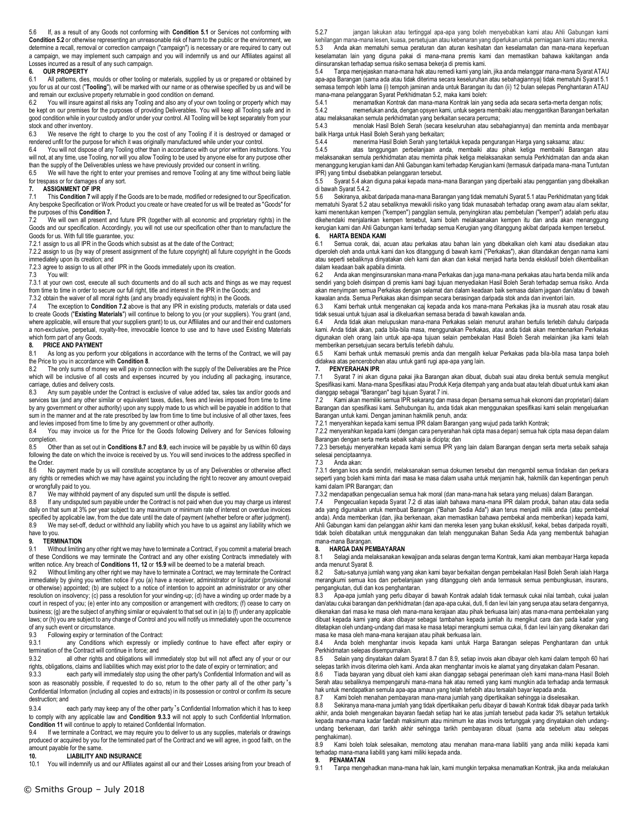5.6 If, as a result of any Goods not conforming with **Condition 5.1** or Services not conforming with **Condition 5.2** or otherwise representing an unreasonable risk of harm to the public or the environment, we determine a recall, removal or correction campaign ("campaign") is necessary or are required to carry out a campaign, we may implement such campaign and you will indemnify us and our Affiliates against all Losses incurred as a result of any such campaign.

### **6. OUR PROPERTY**

All patterns, dies, moulds or other tooling or materials, supplied by us or prepared or obtained by you for us at our cost ("**Tooling**"), will be marked with our name or as otherwise specified by us and will be and remain our exclusive property returnable in good condition on demand.<br>6.2 You will insure against all risks any Tooling and also any of your own

6.2 You will insure against all risks any Tooling and also any of your own tooling or property which may be kept on our premises for the purposes of providing Deliverables. You will keep all Tooling safe and in good condition while in your custody and/or under your control. All Tooling will be kept separately from your stock and other inventory.

6.3 We reserve the right to charge to you the cost of any Tooling if it is destroyed or damaged or rendered unfit for the purpose for which it was originally manufactured while under your control.

6.4 You will not dispose of any Tooling other than in accordance with our prior written instructions. You will not, at any time, use Tooling, nor will you allow Tooling to be used by anyone else for any purpose other than the supply of the Deliverables unless we have previously provided our consent in writing.

6.5 We will have the right to enter your premises and remove Tooling at any time without being liable for trespass or for damages of any sort.

## **7. ASSIGNMENT OF IPR**<br>**7.1** This **Condition 7** will a

This Condition 7 will apply if the Goods are to be made, modified or redesigned to our Specification. Any bespoke Specification or Work Product you create or have created for us will be treated as "Goods" for the purposes of this **Condition 7.**

7.2 We will own all present and future IPR (together with all economic and proprietary rights) in the Goods and our specification. Accordingly, you will not use our specification other than to manufacture the Goods for us. With full title guarantee, you:

7.2.1 assign to us all IPR in the Goods which subsist as at the date of the Contract;

7.2.2 assign to us (by way of present assignment of the future copyright) all future copyright in the Goods immediately upon its creation; and

7.2.3 agree to assign to us all other IPR in the Goods immediately upon its creation.<br>7.3 You will:

7.3 You will:

7.3.1 at your own cost, execute all such documents and do all such acts and things as we may request from time to time in order to secure our full right, title and interest in the IPR in the Goods; and

7.3.2 obtain the waiver of all moral rights (and any broadly equivalent rights) in the Goods.

7.4 The exception to **Condition 7.2** above is that any IPR in existing products, materials or data used to create Goods ("**Existing Materials**") will continue to belong to you (or your suppliers). You grant (and, where applicable, will ensure that your suppliers grant) to us, our Affiliates and our and their end customers a non-exclusive, perpetual, royalty-free, irrevocable licence to use and to have used Existing Materials which form part of any Goods.

#### **8. PRICE AND PAYMENT**

8.1 As long as you perform your obligations in accordance with the terms of the Contract, we will pay the Price to you in accordance with **Condition 8**.

The only sums of money we will pay in connection with the supply of the Deliverables are the Price which will be inclusive of all costs and expenses incurred by you including all packaging, insurance, carriage, duties and delivery costs.

8.3 Any sum payable under the Contract is exclusive of value added tax, sales tax and/or goods and services tax (and any other similar or equivalent taxes, duties, fees and levies imposed from time to time by any government or other authority) upon any supply made to us which will be payable in addition to that sum in the manner and at the rate prescribed by law from time to time but inclusive of all other taxes, fees and levies imposed from time to time by any government or other authority.<br>8.4 You may invoice us for the Price for the Goods following Delive

You may invoice us for the Price for the Goods following Delivery and for Services following completion.<br>8.5 Oth

8.5 Other than as set out in **Conditions 8.7** and **8.9**, each invoice will be payable by us within 60 days following the date on which the invoice is received by us. You will send invoices to the address specified in the Order.

8.6 No payment made by us will constitute acceptance by us of any Deliverables or otherwise affect any rights or remedies which we may have against you including the right to recover any amount overpaid or wrongfully paid to you.

8.7 We may withhold payment of any disputed sum until the dispute is settled.

8.8 If any undisputed sum payable under the Contract is not paid when due you may charge us interest daily on that sum at 3% per year subject to any maximum or minimum rate of interest on overdue invoices specified by applicable law, from the due date until the date of payment (whether before or after judgment). 8.9 We may set-off, deduct or withhold any liability which you have to us against any liability which we have to you.

#### **9. TERMINATION**

9.1 Without limiting any other right we may have to terminate a Contract, if you commit a material breach of these Conditions we may terminate the Contract and any other existing Contracts immediately with written notice. Any breach of **Conditions 11, 12** or **15.9** will be deemed to be a material breach.<br>9.2. Without limiting any other right we may have to terminate a Contract, we may terminate the

Without limiting any other right we may have to terminate a Contract, we may terminate the Contract immediately by giving you written notice if you (a) have a receiver, administrator or liquidator (provisional or otherwise) appointed; (b) are subject to a notice of intention to appoint an administrator or any other resolution on insolvency; (c) pass a resolution for your winding-up; (d) have a winding up order made by a court in respect of you; (e) enter into any composition or arrangement with creditors; (f) cease to carry on business; (g) are the subject of anything similar or equivalent to that set out in (a) to (f) under any applicable laws; or (h) you are subject to any change of Control and you will notify us immediately upon the occurrence of any such event or circumstance.

9.3 Following expiry or termination of the Contract:<br>9.3.1 any Conditions which expressly or

any Conditions which expressly or impliedly continue to have effect after expiry or termination of the Contract will continue in force; and

9.3.2 all other rights and obligations will immediately stop but will not affect any of your or our rights, obligations, claims and liabilities which may exist prior to the date of expiry or termination; and

9.3.3 each party will immediately stop using the other party's Confidential Information and will as soon as reasonably possible, if requested to do so, return to the other party all of the other party 's Confidential Information (including all copies and extracts) in its possession or control or confirm its secure destruction; and

9.3.4 each party may keep any of the other party's Confidential Information which it has to keep to comply with any applicable law and **Condition 9.3.3** will not apply to such Confidential Information. **Condition 11** will continue to apply to retained Confidential Information.

9.4 If we terminate a Contract, we may require you to deliver to us any supplies, materials or drawings produced or acquired by you for the terminated part of the Contract and we will agree, in good faith, on the amount payable for the same.<br>10. LIABILITY AN

## **10. LIABILITY AND INSURANCE**<br>10.1 You will indemnify us and our Affiliates

You will indemnify us and our Affiliates against all our and their Losses arising from your breach of

5.2.7 jangan lakukan atau tertinggal apa-apa yang boleh menyebabkan kami atau Ahli Gabungan kami kehilangan mana-mana lesen, kuasa, persetujuan atau kebenaran yang diperlukan untuk perniagaan kami atau mereka. 5.3 Anda akan mematuhi semua peraturan dan aturan kesihatan dan keselamatan dan mana-mana keperluan keselamatan lain yang diguna pakai di mana-mana premis kami dan memastikan bahawa kakitangan anda diinsuranskan terhadap semua risiko semasa bekerja di premis kami.

5.4 Tanpa menjejaskan mana-mana hak atau remedi kami yang lain, jika anda melanggar mana-mana Syarat ATAU apa-apa Barangan (sama ada atau tidak diterima secara keseluruhan atau sebahagiannya) tidak mematuhi Syarat 5.1 semasa tempoh lebih lama (i) tempoh jaminan anda untuk Barangan itu dan (ii) 12 bulan selepas Penghantaran ATAU mana-mana pelanggaran Syarat Perkhidmatan 5.2, maka kami boleh:

5.4.1 menamatkan Kontrak dan mana-mana Kontrak lain yang sedia ada secara serta-merta dengan notis; memerlukan anda, dengan opsyen kami, untuk segera membaiki atau menggantikan Barangan berkaitan atau melaksanakan semula perkhidmatan yang berkaitan secara percuma;

5.4.3 menolak Hasil Boleh Serah (secara keseluruhan atau sebahagiannya) dan meminta anda membayar

balik Harga untuk Hasil Boleh Serah yang berkaitan; 5.4.4 menerima Hasil Boleh Serah yang tertakluk kepada pengurangan Harga yang saksama; atau:

5.4.5 atas tanggungan perbelanjaan anda, membaiki atau pihak ketiga membaiki Barangan atau melaksanakan semula perkhidmatan atau meminta pihak ketiga melaksanakan semula Perkhidmatan dan anda akan menanggung kerugian kami dan Ahli Gabungan kami terhadap Kerugian kami (termasuk daripada mana-mana Tuntutan IPR) yang timbul disebabkan pelanggaran tersebut.

5.5 Syarat 5.4 akan diguna pakai kepada mana-mana Barangan yang diperbaiki atau penggantian yang dibekalkan di bawah Syarat 5.4.2.

5.6 Sekiranya, akibat daripada mana-mana Barangan yang tidak mematuhi Syarat 5.1 atau Perkhidmatan yang tidak mematuhi Syarat 5.2 atau sebaliknya mewakili risiko yang tidak munasabah terhadap orang awam atau alam sekitar, kami menentukan kempen ("kempen") panggilan semula, penyingkiran atau pembetulan ("kempen") adalah perlu atau dikehendaki menjalankan kempen tersebut, kami boleh melaksanakan kempen itu dan anda akan menanggung kerugian kami dan Ahli Gabungan kami terhadap semua Kerugian yang ditanggung akibat daripada kempen tersebut. **6. HARTA BENDA KAMI**

Semua corak, dai, acuan atau perkakas atau bahan lain yang dibekalkan oleh kami atau disediakan atau diperoleh oleh anda untuk kami dan kos ditanggung di bawah kami ("Perkakas"), akan ditandakan dengan nama kami atau seperti sebaliknya dinyatakan oleh kami dan akan dan kekal menjadi harta benda eksklusif boleh dikembalikan dalam keadaan baik apabila diminta.<br>6.2 Anda akan menginsuranskan

6.2 Anda akan menginsuranskan mana-mana Perkakas dan juga mana-mana perkakas atau harta benda milik anda sendiri yang boleh disimpan di premis kami bagi tujuan menyediakan Hasil Boleh Serah terhadap semua risiko. Anda akan menyimpan semua Perkakas dengan selamat dan dalam keadaan baik semasa dalam jagaan dan/atau di bawah kawalan anda. Semua Perkakas akan disimpan secara berasingan daripada stok anda dan inventori lain.

6.3 Kami berhak untuk mengenakan caj kepada anda kos mana-mana Perkakas jika ia musnah atau rosak atau tidak sesuai untuk tujuan asal ia dikeluarkan semasa berada di bawah kawalan anda.

6.4 Anda tidak akan melupuskan mana-mana Perkakas selain menurut arahan bertulis terlebih dahulu daripada kami. Anda tidak akan, pada bila-bila masa, menggunakan Perkakas, atau anda tidak akan membenarkan Perkakas digunakan oleh orang lain untuk apa-apa tujuan selain pembekalan Hasil Boleh Serah melainkan jika kami telah memberikan persetujuan secara bertulis terlebih dahulu.

6.5 Kami berhak untuk memasuki premis anda dan mengalih keluar Perkakas pada bila-bila masa tanpa boleh didakwa atas pencerobohan atau untuk ganti rugi apa-apa yang lain.

### **7. PENYERAHAN IPR**

7.1 Syarat 7 ini akan diguna pakai jika Barangan akan dibuat, diubah suai atau direka bentuk semula mengikut Spesifikasi kami. Mana-mana Spesifikasi atau Produk Kerja ditempah yang anda buat atau telah dibuat untuk kami akan dianggap sebagai "Barangan" bagi tujuan Syarat 7 ini.

7.2 Kami akan memiliki semua IPR sekarang dan masa depan (bersama semua hak ekonomi dan proprietari) dalam Barangan dan spesifikasi kami. Sehubungan itu, anda tidak akan menggunakan spesifikasi kami selain mengeluarkan Barangan untuk kami. Dengan jaminan hakmilik penuh, anda:

7.2.1 menyerahkan kepada kami semua IPR dalam Barangan yang wujud pada tarikh Kontrak;

7.2.2 menyerahkan kepada kami (dengan cara penyerahan hak cipta masa depan) semua hak cipta masa depan dalam Barangan dengan serta merta sebaik sahaja ia dicipta; dan

7.2.3 bersetuju menyerahkan kepada kami semua IPR yang lain dalam Barangan dengan serta merta sebaik sahaja selesai penciptaannya.

#### Anda akan:

7.3.1 dengan kos anda sendiri, melaksanakan semua dokumen tersebut dan mengambil semua tindakan dan perkara seperti yang boleh kami minta dari masa ke masa dalam usaha untuk menjamin hak, hakmilik dan kepentingan penuh kami dalam IPR Barangan; dan

7.3.2 mendapatkan pengecualian semua hak moral (dan mana-mana hak setara yang meluas) dalam Barangan.

7.4 Pengecualian kepada Syarat 7.2 di atas ialah bahawa mana-mana IPR dalam produk, bahan atau data sedia ada yang digunakan untuk membuat Barangan ("Bahan Sedia Ada") akan terus menjadi milik anda (atau pembekal anda). Anda memberikan (dan, jika berkenaan, akan memastikan bahawa pembekal anda memberikan) kepada kami, Ahli Gabungan kami dan pelanggan akhir kami dan mereka lesen yang bukan eksklusif, kekal, bebas daripada royalti, tidak boleh dibatalkan untuk menggunakan dan telah menggunakan Bahan Sedia Ada yang membentuk bahagian mana-mana Barangan.

8.1 Selagi anda melaksanakan kewajipan anda selaras dengan terma Kontrak, kami akan membayar Harga kepada anda menurut Syarat 8.<br>8.2. Satu-satunya ilu

8.2 Satu-satunya jumlah wang yang akan kami bayar berkaitan dengan pembekalan Hasil Boleh Serah ialah Harga merangkumi semua kos dan perbelanjaan yang ditanggung oleh anda termasuk semua pembungkusan, insurans, pengangkutan, duti dan kos penghantaran.

8.3 Apa-apa jumlah yang perlu dibayar di bawah Kontrak adalah tidak termasuk cukai nilai tambah, cukai jualan dan/atau cukai barangan dan perkhidmatan (dan apa-apa cukai, duti, fi dan levi lain yang serupa atau setara dengannya, dikenakan dari masa ke masa oleh mana-mana kerajaan atau pihak berkuasa lain) atas mana-mana pembekalan yang dibuat kepada kami yang akan dibayar sebagai tambahan kepada jumlah itu mengikut cara dan pada kadar yang ditetapkan oleh undang-undang dari masa ke masa tetapi merangkumi semua cukai, fi dan levi lain yang dikenakan dari masa ke masa oleh mana-mana kerajaan atau pihak berkuasa lain.

8.4 Anda boleh menghantar invois kepada kami untuk Harga Barangan selepas Penghantaran dan untuk Perkhidmatan selepas disempurnakan.

8.5 Selain yang dinyatakan dalam Syarat 8.7 dan 8.9, setiap invois akan dibayar oleh kami dalam tempoh 60 hari selepas tarikh invois diterima oleh kami. Anda akan menghantar invois ke alamat yang dinyatakan dalam Pesanan.

8.6 Tiada bayaran yang dibuat oleh kami akan dianggap sebagai penerimaan oleh kami mana-mana Hasil Boleh Serah atau sebaliknya mempengaruhi mana-mana hak atau remedi yang kami mungkin ada terhadap anda termasuk hak untuk mendapatkan semula apa-apa amaun yang telah terlebih atau tersalah bayar kepada anda.

Kami boleh menahan pembayaran mana-mana jumlah yang dipertikaikan sehingga ia diselesaikan.

8.8 Sekiranya mana-mana jumlah yang tidak dipertikaikan perlu dibayar di bawah Kontrak tidak dibayar pada tarikh akhir, anda boleh mengenakan bayaran faedah setiap hari ke atas jumlah tersebut pada kadar 3% setahun tertakluk kepada mana-mana kadar faedah maksimum atau minimum ke atas invois tertunggak yang dinyatakan oleh undangundang berkenaan, dari tarikh akhir sehingga tarikh pembayaran dibuat (sama ada sebelum atau selepas penghakiman).

8.9 Kami boleh tolak selesaikan, memotong atau menahan mana-mana liabiliti yang anda miliki kepada kami terhadap mana-mana liabiliti yang kami miliki kepada anda.

#### **9. PENAMATAN**

9.1 Tanpa mengehadkan mana-mana hak lain, kami mungkin terpaksa menamatkan Kontrak, jika anda melakukan

**8. HARGA DAN PEMBAYARAN**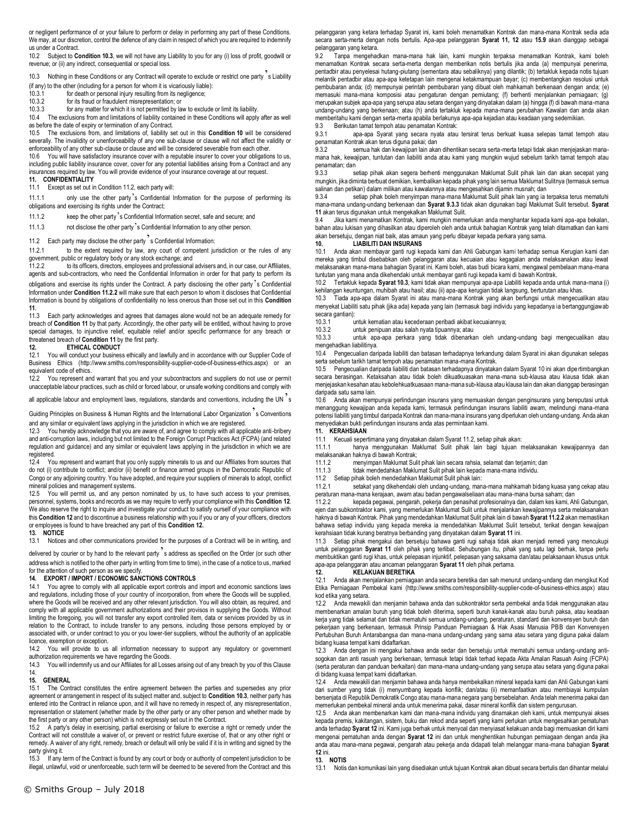or negligent performance of or your failure to perform or delay in performing any part of these Conditions. We may, at our discretion, control the defence of any claim in respect of which you are required to indemnify us under a Contract.

10.2 Subject to **Condition 10.3**, we will not have any Liability to you for any (i) loss of profit, goodwill or revenue; or (ii) any indirect, consequential or special loss.

10.3 Nothing in these Conditions or any Contract will operate to exclude or restrict one party s Liability

(if any) to the other (including for a person for whom it is vicariously liable):<br>10.3.1 for death or personal iniury resulting from its negligence:

- $\frac{10.3.1}{10.3.2}$  for death or personal injury resulting from its negligence;<br>10.3.2 for its fraud or fraudulent misrepresentation: or for its fraud or fraudulent misrepresentation; or
- 10.3.3 for any matter for which it is not permitted by law to exclude or limit its liability.

10.4 The exclusions from and limitations of liability contained in these Conditions will apply after as well as before the date of expiry or termination of any Contract.

10.5 The exclusions from, and limitations of, liability set out in this **Condition 10** will be considered severally. The invalidity or unenforceability of any one sub-clause or clause will not affect the validity or enforceability of any other sub-clause or clause and will be considered severable from each other.

10.6 You will have satisfactory insurance cover with a reputable insurer to cover your obligations to us, including public liability insurance cover, cover for any potential liabilities arising from a Contract and any insurances required by law. You will provide evidence of your insurance coverage at our request. **11. CONFIDENTIALITY**

Except as set out in Condition 11.2, each party will:

11.1.1 only use the other party's Confidential Information for the purpose of performing its obligations and exercising its rights under the Contract;

11.1.2 keep the other party's Confidential Information secret, safe and secure; and

11.1.3 not disclose the other party's Confidential Information to any other person.

# 11.2 Each party may disclose the other party  $\frac{7}{12}$  s Confidential Information:<br>11.2.1 to the extent required by law, any court of competent in

to the extent required by law, any court of competent jurisdiction or the rules of any government, public or regulatory body or any stock exchange; and<br>11.2.2 to its officers, directors, employees and professional

to its officers, directors, employees and professional advisers and, in our case, our Affiliates, agents and sub-contractors, who need the Confidential Information in order for that party to perform its obligations and exercise its rights under the Contract. A party disclosing the other party 's Confidential Information under **Condition 11.2.2** will make sure that each person to whom it discloses that Confidential Information is bound by obligations of confidentiality no less onerous than those set out in this **Condition 11**.

Each party acknowledges and agrees that damages alone would not be an adequate remedy for breach of **Condition 11** by that party. Accordingly, the other party will be entitled, without having to prove special damages, to injunctive relief, equitable relief and/or specific performance for any breach or threatened breach of **Condition 11** by the first party.

## **12. ETHICAL CONDUCT**<br>12.1 You will conduct your busines

You will conduct your business ethically and lawfully and in accordance with our Supplier Code of Business Ethics (http://www.smiths.com/responsibility-supplier-code-of-business-ethics.aspx) or an equivalent code of ethics.

12.2 You represent and warrant that you and your subcontractors and suppliers do not use or permit unacceptable labour practices, such as child or forced labour, or unsafe working conditions and comply with

all applicable labour and employment laws, regulations, standards and conventions, including the UN s

Guiding Principles on Business & Human Rights and the International Labor Organization<sup>2</sup>s Conventions

and any similar or equivalent laws applying in the jurisdiction in which we are registered.<br>12.3 You hereby acknowledge that you are aware of and agree to comply with all appl You hereby acknowledge that you are aware of, and agree to comply with all applicable anti-bribery and anti-corruption laws, including but not limited to the Foreign Corrupt Practices Act (FCPA) (and related regulation and guidance) and any similar or equivalent laws applying in the jurisdiction in which we are registered.

12.4 You represent and warrant that you only supply minerals to us and our Affiliates from sources that do not (i) contribute to conflict; and/or (ii) benefit or finance armed groups in the Democratic Republic of Congo or any adjoining country. You have adopted, and require your suppliers of minerals to adopt, conflict mineral policies and management systems.

12.5 You will permit us, and any person nominated by us, to have such access to your premises, personnel, systems, books and records as we may require to verify your compliance with this **Condition 12**. We also reserve the right to inquire and investigate your conduct to satisfy ourself of your compliance with this **Condition 12** and to discontinue a business relationship with you if you or any of your officers, directors or employees is found to have breached any part of this **Condition 12.** 

### **13. NOTICE**

13.1 Notices and other communications provided for the purposes of a Contract will be in writing, and

delivered by courier or by hand to the relevant party's address as specified on the Order (or such other address which is notified to the other party in writing from time to time), in the case of a notice to us, marked

### for the attention of such person as we specify.

### **14. EXPORT / IMPORT / ECONOMIC SANCTIONS CONTROLS**

You agree to comply with all applicable export controls and import and economic sanctions laws and regulations, including those of your country of incorporation, from where the Goods will be supplied, where the Goods will be received and any other relevant jurisdiction. You will also obtain, as required, and comply with all applicable government authorizations and their provisos in supplying the Goods. Without limiting the foregoing, you will not transfer any export controlled item, data or services provided by us in relation to the Contract, to include transfer to any persons, including those persons employed by or associated with, or under contract to you or you lower-tier suppliers, without the authority of an applicable licence, exemption or exception.

14.2 You will provide to us all information necessary to support any regulatory or government authorization requirements we have regarding the Goods.

14.3 You will indemnify us and our Affiliates for all Losses arising out of any breach by you of this Clause 14.

#### **15. GENERAL**

15.1 The Contract constitutes the entire agreement between the parties and supersedes any prior agreement or arrangement in respect of its subject matter and, subject to **Condition 10.3**, neither party has entered into the Contract in reliance upon, and it will have no remedy in respect of, any misrepresentation, representation or statement (whether made by the other party or any other person and whether made by the first party or any other person) which is not expressly set out in the Contract.

15.2 A party's delay in exercising, partial exercising or failure to exercise a right or remedy under the Contract will not constitute a waiver of, or prevent or restrict future exercise of, that or any other right or remedy. A waiver of any right, remedy, breach or default will only be valid if it is in writing and signed by the party giving it.

15.3 If any term of the Contract is found by any court or body or authority of competent jurisdiction to be illegal, unlawful, void or unenforceable, such term will be deemed to be severed from the Contract and this

pelanggaran yang ketara terhadap Syarat ini, kami boleh menamatkan Kontrak dan mana-mana Kontrak sedia ada secara serta-merta dengan notis bertulis. Apa-apa pelanggaran **Syarat 11, 12** atau **15.9** akan dianggap sebagai pelanggaran yang ketara.<br>92 Tanna mengehar

9.2 Tanpa mengehadkan mana-mana hak lain, kami mungkin terpaksa menamatkan Kontrak, kami boleh menamatkan Kontrak secara serta-merta dengan memberikan notis bertulis jika anda (a) mempunyai penerima, pentadbir atau penyelesai hutang-piutang (sementara atau sebaliknya) yang dilantik; (b) tertakluk kepada notis tujuan melantik pentadbir atau apa-apa ketetapan lain mengenai ketakmampuan bayar; (c) membentangkan resolusi untuk pembubaran anda; (d) mempunyai perintah pembubaran yang dibuat oleh mahkamah berkenaan dengan anda; (e) memasuki mana-mana komposisi atau pengaturan dengan pemiutang; (f) berhenti menjalankan perniagaan; (g) merupakan subjek apa-apa yang serupa atau setara dengan yang dinyatakan dalam (a) hingga (f) di bawah mana-mana undang-undang yang berkenaan; atau (h) anda tertakluk kepada mana-mana perubahan Kawalan dan anda akan memberitahu kami dengan serta-merta apabila berlakunya apa-apa kejadian atau keadaan yang sedemikian.

9.3 Berikutan tamat tempoh atau penamatan Kontrak:

9.3.1 apa-apa Syarat yang secara nyata atau tersirat terus berkuat kuasa selepas tamat tempoh atau penamatan Kontrak akan terus diguna pakai; dan

9.3.2 semua hak dan kewajipan lain akan dihentikan secara serta-merta tetapi tidak akan menjejaskan manamana hak, kewajipan, tuntutan dan liabiliti anda atau kami yang mungkin wujud sebelum tarikh tamat tempoh atau penamatan; dan

9.3.3 setiap pihak akan segera berhenti menggunakan Maklumat Sulit pihak lain dan akan secepat yang mungkin, jika diminta berbuat demikian, kembalikan kepada pihak yang lain semua Maklumat Sulitnya (termasuk semua salinan dan petikan) dalam milikan atau kawalannya atau mengesahkan dijamin musnah; dan salinan berikan dijamin musnah; dan setiap pihak boleh menyimpan mana-mana Maklumat Sulit pihak lain yang ia t

setiap pihak boleh menyimpan mana-mana Maklumat Sulit pihak lain yang ia terpaksa terus mematuhi mana-mana undang-undang berkenaan dan **Syarat 9.3.3** tidak akan digunakan bagi Maklumat Sulit tersebut. **Syarat 11** akan terus digunakan untuk mengekalkan Maklumat Sulit.

9.4 Jika kami menamatkan Kontrak, kami mungkin memerlukan anda menghantar kepada kami apa-apa bekalan, bahan atau lukisan yang dihasilkan atau diperoleh oleh anda untuk bahagian Kontrak yang telah ditamatkan dan kami akan bersetuju, dengan niat baik, atas amaun yang perlu dibayar kepada perkara yang sama.

#### **10. LIABILITI DAN INSURANS**

10.1 Anda akan membayar ganti rugi kepada kami dan Ahli Gabungan kami terhadap semua Kerugian kami dan mereka yang timbul disebabkan oleh pelanggaran atau kecuaian atau kegagalan anda melaksanakan atau lewat melaksanakan mana-mana bahagian Syarat ini. Kami boleh, atas budi bicara kami, mengawal pembelaan mana-mana tuntutan yang mana anda dikehendaki untuk membayar ganti rugi kepada kami di bawah Kontrak.

10.2 Tertakluk kepada **Syarat 10.3**, kami tidak akan mempunyai apa-apa Liabiliti kepada anda untuk mana-mana (i) kehilangan keuntungan, muhibah atau hasil; atau (ii) apa-apa kerugian tidak langsung, berturutan atau khas.

10.3 Tiada apa-apa dalam Syarat ini atau mana-mana Kontrak yang akan berfungsi untuk mengecualikan atau menyekat Liabiliti satu pihak (jika ada) kepada yang lain (termasuk bagi individu yang kepadanya ia bertanggungjawab secara gantian):<br>10.3.1

10.3.1 <sup>v</sup>untuk kematian atau kecederaan peribadi akibat kecuaiannya;<br>10.3.2 vuntuk penipuan atau salah nyata tipuannya: atau

untuk penipuan atau salah nyata tipuannya; atau

10.3.3 untuk apa-apa perkara yang tidak dibenarkan oleh undang-undang bagi mengecualikan atau mengehadkan liabilitinya.

10.4 Pengecualian daripada liabiliti dan batasan terhadapnya terkandung dalam Syarat ini akan digunakan selepas serta sebelum tarikh tamat tempoh atau penamatan mana-mana Kontrak.

10.5 Pengecualian daripada liabiliti dan batasan terhadapnya dinyatakan dalam Syarat 10 ini akan dipertimbangkan secara berasingan. Ketaksahan atau tidak boleh dikuatkuasakan mana-mana sub-klausa atau klausa tidak akan menjejaskan kesahan atau kebolehkuatkuasaan mana-mana sub-klausa atau klausa lain dan akan dianggap berasingan daripada satu sama lain.

10.6 Anda akan mempunyai perlindungan insurans yang memuaskan dengan penginsurans yang bereputasi untuk menanggung kewajipan anda kepada kami, termasuk perlindungan insurans liabiliti awam, melindungi mana-mana potensi liabiliti yang timbul daripada Kontrak dan mana-mana insurans yang diperlukan oleh undang-undang. Anda akan menyediakan bukti perlindungan insurans anda atas permintaan kami.

#### **11. KERAHSIAAN**

11.1 Kecuali sepertimana yang dinyatakan dalam Syarat 11.2, setiap pihak akan:

11.1.1 hanya menggunakan Maklumat Sulit pihak lain bagi tujuan melaksanakan kewajipannya dan

melaksanakan haknya di bawah Kontrak;<br>11.1.2 menvimpan Maklumat Suli

11.1.2 menyimpan Maklumat Sulit pihak lain secara rahsia, selamat dan terjamin; dan 11.1.3 tidak mendedahkan Maklumat Sulit pihak lain kepada mana-mana individu.

11.2 Setiap pihak boleh mendedahkan Maklumat Sulit pihak lain:

11.2.1 setakat yang dikehendaki oleh undang-undang, mana-mana mahkamah bidang kuasa yang cekap atau peraturan mana-mana kerajaan, awam atau badan pengawalseliaan atau mana-mana bursa saham; dan<br>1122 Kenada penawai pengarah pekeria dan penasihat profesionalnya dan dalam kes kami Ah

11.2.2 kepada pegawai, pengarah, pekerja dan penasihat profesionalnya dan, dalam kes kami, Ahli Gabungan, ejen dan subkontraktor kami, yang memerlukan Maklumat Sulit untuk menjalankan kewajipannya serta melaksanakan haknya di bawah Kontrak. Pihak yang mendedahkan Maklumat Sulit pihak lain di bawah **Syarat 11.2.2** akan memastikan bahawa setiap individu yang kepada mereka ia mendedahkan Maklumat Sulit tersebut, terikat dengan kewajipan kerahsiaan tidak kurang beratnya berbanding yang dinyatakan dalam **Syarat 11** ini.

11.3 Setiap pihak mengakui dan bersetuju bahawa ganti rugi sahaja tidak akan menjadi remedi yang mencukupi untuk pelanggaran **Syarat 11** oleh pihak yang terlibat. Sehubungan itu, pihak yang satu lagi berhak, tanpa perlu membuktikan ganti rugi khas, untuk pelepasan injunktif, pelepasan yang saksama dan/atau pelaksanaan khusus untuk apa-apa pelanggaran atau ancaman pelanggaran **Syarat 11** oleh pihak pertama.

**12. KELAKUAN BERETIKA** 12.1 Anda akan menjalankan perniagaan anda secara beretika dan sah menurut undang-undang dan mengikut Kod Etika Perniagaan Pembekal kami (http://www.smiths.com/responsibility-supplier-code-of-business-ethics.aspx) atau kod etika yang setara.

12.2 Anda mewakili dan menjamin bahawa anda dan subkontraktor serta pembekal anda tidak menggunakan atau membenarkan amalan buruh yang tidak boleh diterima, seperti buruh kanak-kanak atau buruh paksa, atau keadaan kerja yang tidak selamat dan tidak mematuhi semua undang-undang, peraturan, standard dan konvensyen buruh dan pekerjaan yang berkenaan, termasuk Prinsip Panduan Perniagaan & Hak Asasi Manusia PBB dan Konvensyen Pertubuhan Buruh Antarabangsa dan mana-mana undang-undang yang sama atau setara yang diguna pakai dalam bidang kuasa tempat kami didaftarkan.

12.3 Anda dengan ini mengakui bahawa anda sedar dan bersetuju untuk mematuhi semua undang-undang antisogokan dan anti rasuah yang berkenaan, termasuk tetapi tidak terhad kepada Akta Amalan Rasuah Asing (FCPA) (serta peraturan dan panduan berkaitan) dan mana-mana undang-undang yang serupa atau setara yang diguna pakai di bidang kuasa tempat kami didaftarkan.

12.4 Anda mewakili dan menjamin bahawa anda hanya membekalkan mineral kepada kami dan Ahli Gabungan kami dari sumber yang tidak (i) menyumbang kepada konflik; dan/atau (ii) memanfaatkan atau membiayai kumpulan bersenjata di Republik Demokratik Congo atau mana-mana negara yang bersebelahan. Anda telah menerima pakai dan memerlukan pembekal mineral anda untuk menerima pakai, dasar mineral konflik dan sistem pengurusan.

12.5 Anda akan membenarkan kami dan mana-mana individu yang dinamakan oleh kami, untuk mempunyai akses kepada premis, kakitangan, sistem, buku dan rekod anda seperti yang kami perlukan untuk mengesahkan pematuhan anda terhadap **Syarat 12** ini. Kami juga berhak untuk menyoal dan menyiasat kelakuan anda bagi memuaskan diri kami mengenai pematuhan anda dengan **Syarat 12** ini dan untuk menghentikan hubungan perniagaan dengan anda jika anda atau mana-mana pegawai, pengarah atau pekerja anda didapati telah melanggar mana-mana bahagian **Syarat 12** ini.

#### **13. NOTIS**

13.1 Notis dan komunikasi lain yang disediakan untuk tujuan Kontrak akan dibuat secara bertulis dan dihantar melalui